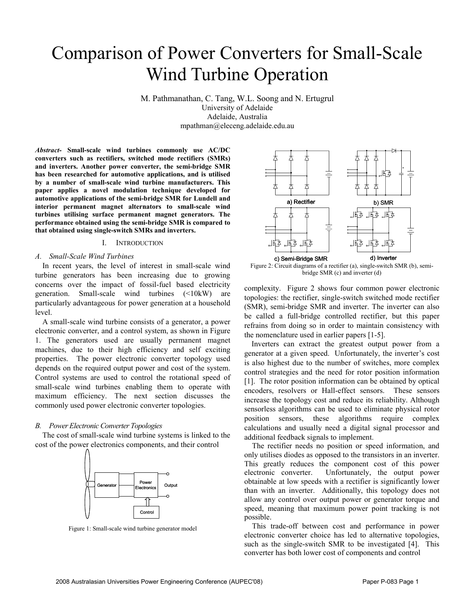# Comparison of Power Converters for Small-Scale Wind Turbine Operation

M. Pathmanathan, C. Tang, W.L. Soong and N. Ertugrul University of Adelaide Adelaide, Australia mpathman@eleceng.adelaide.edu.au

*Abstract-* **Small-scale wind turbines commonly use AC/DC converters such as rectifiers, switched mode rectifiers (SMRs) and inverters. Another power converter, the semi-bridge SMR has been researched for automotive applications, and is utilised by a number of small-scale wind turbine manufacturers. This paper applies a novel modulation technique developed for automotive applications of the semi-bridge SMR for Lundell and interior permanent magnet alternators to small-scale wind turbines utilising surface permanent magnet generators. The performance obtained using the semi-bridge SMR is compared to that obtained using single-switch SMRs and inverters.**

## I. INTRODUCTION

# *A. Small-Scale Wind Turbines*

In recent years, the level of interest in small-scale wind turbine generators has been increasing due to growing concerns over the impact of fossil-fuel based electricity generation. Small-scale wind turbines (<10kW) are particularly advantageous for power generation at a household level.

A small-scale wind turbine consists of a generator, a power electronic converter, and a control system, as shown in Figure 1. The generators used are usually permanent magnet machines, due to their high efficiency and self exciting properties. The power electronic converter topology used depends on the required output power and cost of the system. Control systems are used to control the rotational speed of small-scale wind turbines enabling them to operate with maximum efficiency. The next section discusses the commonly used power electronic converter topologies.

# *B. Power Electronic Converter Topologies*

The cost of small-scale wind turbine systems is linked to the cost of the power electronics components, and their control



Figure 1: Small-scale wind turbine generator model



Figure 2: Circuit diagrams of a rectifier (a), single-switch SMR (b), semibridge SMR (c) and inverter (d)

complexity. Figure 2 shows four common power electronic topologies: the rectifier, single-switch switched mode rectifier (SMR), semi-bridge SMR and inverter. The inverter can also be called a full-bridge controlled rectifier, but this paper refrains from doing so in order to maintain consistency with the nomenclature used in earlier papers [1-5].

Inverters can extract the greatest output power from a generator at a given speed. Unfortunately, the inverter's cost is also highest due to the number of switches, more complex control strategies and the need for rotor position information [1]. The rotor position information can be obtained by optical encoders, resolvers or Hall-effect sensors. These sensors increase the topology cost and reduce its reliability. Although sensorless algorithms can be used to eliminate physical rotor position sensors, these algorithms require complex calculations and usually need a digital signal processor and additional feedback signals to implement.

The rectifier needs no position or speed information, and only utilises diodes as opposed to the transistors in an inverter. This greatly reduces the component cost of this power electronic converter. Unfortunately, the output power obtainable at low speeds with a rectifier is significantly lower than with an inverter. Additionally, this topology does not allow any control over output power or generator torque and speed, meaning that maximum power point tracking is not possible.

This trade-off between cost and performance in power electronic converter choice has led to alternative topologies, such as the single-switch SMR to be investigated [4]. This converter has both lower cost of components and control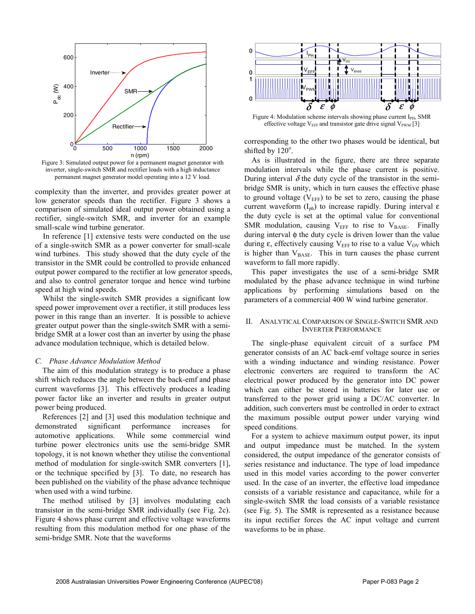

Figure 3: Simulated output power for a permanent magnet generator with inverter, single-switch SMR and rectifier loads with a high inductance permanent magnet generator model operating into a 12 V load.

complexity than the inverter, and provides greater power at low generator speeds than the rectifier. Figure 3 shows a comparison of simulated ideal output power obtained using a rectifier, single-switch SMR, and inverter for an example small-scale wind turbine generator.

In reference [1] extensive tests were conducted on the use of a single-switch SMR as a power converter for small-scale wind turbines. This study showed that the duty cycle of the transistor in the SMR could be controlled to provide enhanced output power compared to the rectifier at low generator speeds, and also to control generator torque and hence wind turbine speed at high wind speeds.

Whilst the single-switch SMR provides a significant low speed power improvement over a rectifier, it still produces less power in this range than an inverter. It is possible to achieve greater output power than the single-switch SMR with a semibridge SMR at a lower cost than an inverter by using the phase advance modulation technique, which is detailed below.

### *C. Phase Advance Modulation Method*

The aim of this modulation strategy is to produce a phase shift which reduces the angle between the back-emf and phase current waveforms [3]. This effectively produces a leading power factor like an inverter and results in greater output power being produced.

References [2] and [3] used this modulation technique and demonstrated significant performance increases for automotive applications. While some commercial wind turbine power electronics units use the semi-bridge SMR topology, it is not known whether they utilise the conventional method of modulation for single-switch SMR converters [1], or the technique specified by [3]. To date, no research has been published on the viability of the phase advance technique when used with a wind turbine.

The method utilised by [3] involves modulating each transistor in the semi-bridge SMR individually (see Fig. 2c). Figure 4 shows phase current and effective voltage waveforms resulting from this modulation method for one phase of the semi-bridge SMR. Note that the waveforms



effective voltage  $V_{EFF}$  and transistor gate drive signal  $V_{PWM}$  [3]

corresponding to the other two phases would be identical, but shifted by  $120^\circ$ .

As is illustrated in the figure, there are three separate modulation intervals while the phase current is positive. During interval  $\delta$  the duty cycle of the transistor in the semibridge SMR is unity, which in turn causes the effective phase to ground voltage  $(V_{EFF})$  to be set to zero, causing the phase current waveform (I<sub>ph</sub>) to increase rapidly. During interval ε the duty cycle is set at the optimal value for conventional SMR modulation, causing  $V_{EFF}$  to rise to  $V_{BASE}$ . Finally during interval φ the duty cycle is driven lower than the value during  $\varepsilon$ , effectively causing V<sub>EFF</sub> to rise to a value V<sub>OV</sub> which is higher than  $V_{\text{BASE}}$ . This in turn causes the phase current waveform to fall more rapidly.

This paper investigates the use of a semi-bridge SMR modulated by the phase advance technique in wind turbine applications by performing simulations based on the parameters of a commercial 400 W wind turbine generator.

### II. ANALYTICAL COMPARISON OF SINGLE-SWITCH SMR AND INVERTER PERFORMANCE

The single-phase equivalent circuit of a surface PM generator consists of an AC back-emf voltage source in series with a winding inductance and winding resistance. Power electronic converters are required to transform the AC electrical power produced by the generator into DC power which can either be stored in batteries for later use or transferred to the power grid using a DC/AC converter. In addition, such converters must be controlled in order to extract the maximum possible output power under varying wind speed conditions.

For a system to achieve maximum output power, its input and output impedance must be matched. In the system considered, the output impedance of the generator consists of series resistance and inductance. The type of load impedance used in this model varies according to the power converter used. In the case of an inverter, the effective load impedance consists of a variable resistance and capacitance, while for a single-switch SMR the load consists of a variable resistance (see Fig. 5). The SMR is represented as a resistance because its input rectifier forces the AC input voltage and current waveforms to be in phase.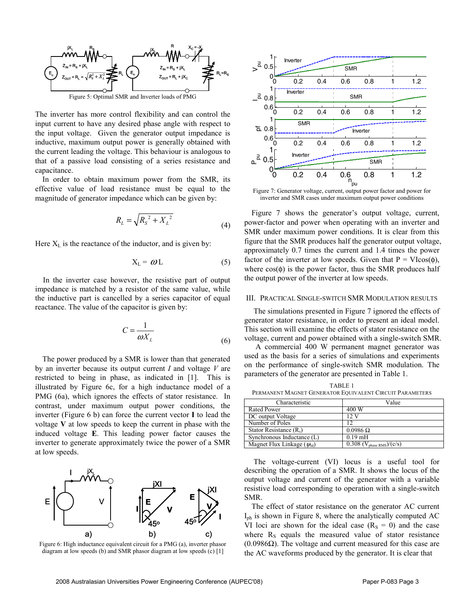

The inverter has more control flexibility and can control the input current to have any desired phase angle with respect to the input voltage. Given the generator output impedance is inductive, maximum output power is generally obtained with the current leading the voltage. This behaviour is analogous to that of a passive load consisting of a series resistance and capacitance.

In order to obtain maximum power from the SMR, its effective value of load resistance must be equal to the magnitude of generator impedance which can be given by:

$$
R_L = \sqrt{R_S^2 + {X_L}^2}
$$
 (4)

Here  $X_L$  is the reactance of the inductor, and is given by:

$$
X_{L} = \omega L \tag{5}
$$

In the inverter case however, the resistive part of output impedance is matched by a resistor of the same value, while the inductive part is cancelled by a series capacitor of equal reactance. The value of the capacitor is given by:

$$
C = \frac{1}{\omega X_L} \tag{6}
$$

The power produced by a SMR is lower than that generated by an inverter because its output current *I* and voltage *V* are restricted to being in phase, as indicated in [1]. This is illustrated by Figure 6c, for a high inductance model of a PMG (6a), which ignores the effects of stator resistance. In contrast, under maximum output power conditions, the inverter (Figure 6 b) can force the current vector **I** to lead the voltage **V** at low speeds to keep the current in phase with the induced voltage **E**. This leading power factor causes the inverter to generate approximately twice the power of a SMR at low speeds.



Figure 6: High inductance equivalent circuit for a PMG (a), inverter phasor diagram at low speeds (b) and SMR phasor diagram at low speeds (c) [1]



Figure 7: Generator voltage, current, output power factor and power for inverter and SMR cases under maximum output power conditions

Figure 7 shows the generator's output voltage, current, power-factor and power when operating with an inverter and SMR under maximum power conditions. It is clear from this figure that the SMR produces half the generator output voltage, approximately 0.7 times the current and 1.4 times the power factor of the inverter at low speeds. Given that  $P = VI\cos(\phi)$ , where  $cos(\phi)$  is the power factor, thus the SMR produces half the output power of the inverter at low speeds.

### III. PRACTICAL SINGLE-SWITCH SMR MODULATION RESULTS

The simulations presented in Figure 7 ignored the effects of generator stator resistance, in order to present an ideal model. This section will examine the effects of stator resistance on the voltage, current and power obtained with a single-switch SMR.

 A commercial 400 W permanent magnet generator was used as the basis for a series of simulations and experiments on the performance of single-switch SMR modulation. The parameters of the generator are presented in Table 1.

| TABLE 1                                                  |
|----------------------------------------------------------|
| PERMANENT MAGNET GENERATOR EQUIVALENT CIRCUIT PARAMETERS |

| Characteristic                 | Value                                              |
|--------------------------------|----------------------------------------------------|
| <b>Rated Power</b>             | 400 W                                              |
| DC output Voltage              | $12 \text{ V}$                                     |
| Number of Poles                | 12                                                 |
| Stator Resistance $(R_s)$      | $0.0986 \Omega$                                    |
| Synchronous Inductance (L)     | $0.19$ mH                                          |
| Magnet Flux Linkage $(\psi_M)$ | $\overline{0.308}$ (V <sub>phase RMS</sub> )/(c/s) |

The voltage-current (VI) locus is a useful tool for describing the operation of a SMR. It shows the locus of the output voltage and current of the generator with a variable resistive load corresponding to operation with a single-switch SMR.

The effect of stator resistance on the generator AC current  $I_{\text{ph}}$  is shown in Figure 8, where the analytically computed AC VI loci are shown for the ideal case  $(R<sub>S</sub> = 0)$  and the case where  $R<sub>S</sub>$  equals the measured value of stator resistance (0.0986Ω). The voltage and current measured for this case are the AC waveforms produced by the generator. It is clear that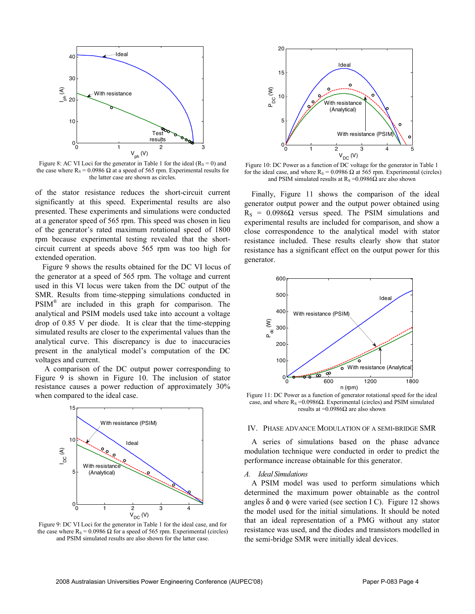

Figure 8: AC VI Loci for the generator in Table 1 for the ideal ( $R_s = 0$ ) and the case where  $R_s = 0.0986 \Omega$  at a speed of 565 rpm. Experimental results for the latter case are shown as circles.

of the stator resistance reduces the short-circuit current significantly at this speed. Experimental results are also presented. These experiments and simulations were conducted at a generator speed of 565 rpm. This speed was chosen in lieu of the generator's rated maximum rotational speed of 1800 rpm because experimental testing revealed that the shortcircuit current at speeds above 565 rpm was too high for extended operation.

Figure 9 shows the results obtained for the DC VI locus of the generator at a speed of 565 rpm. The voltage and current used in this VI locus were taken from the DC output of the SMR. Results from time-stepping simulations conducted in PSIM® are included in this graph for comparison. The analytical and PSIM models used take into account a voltage drop of 0.85 V per diode. It is clear that the time-stepping simulated results are closer to the experimental values than the analytical curve. This discrepancy is due to inaccuracies present in the analytical model's computation of the DC voltages and current.

A comparison of the DC output power corresponding to Figure 9 is shown in Figure 10. The inclusion of stator resistance causes a power reduction of approximately 30% when compared to the ideal case.



Figure 9: DC VI Loci for the generator in Table 1 for the ideal case, and for the case where  $R_s = 0.0986$  Ω for a speed of 565 rpm. Experimental (circles) and PSIM simulated results are also shown for the latter case.



Figure 10: DC Power as a function of DC voltage for the generator in Table 1 for the ideal case, and where  $R_s = 0.0986 \Omega$  at 565 rpm. Experimental (circles) and PSIM simulated results at  $R_s = 0.0986\Omega$  are also shown

Finally, Figure 11 shows the comparison of the ideal generator output power and the output power obtained using  $R<sub>S</sub> = 0.0986Ω$  versus speed. The PSIM simulations and experimental results are included for comparison, and show a close correspondence to the analytical model with stator resistance included. These results clearly show that stator resistance has a significant effect on the output power for this generator.



Figure 11: DC Power as a function of generator rotational speed for the ideal case, and where  $R_s = 0.0986\Omega$ . Experimental (circles) and PSIM simulated results at =0.0986Ω are also shown

## IV. PHASE ADVANCE MODULATION OF A SEMI-BRIDGE SMR

A series of simulations based on the phase advance modulation technique were conducted in order to predict the performance increase obtainable for this generator.

#### *A. Ideal Simulations*

A PSIM model was used to perform simulations which determined the maximum power obtainable as the control angles  $\delta$  and  $\phi$  were varied (see section I C). Figure 12 shows the model used for the initial simulations. It should be noted that an ideal representation of a PMG without any stator resistance was used, and the diodes and transistors modelled in the semi-bridge SMR were initially ideal devices.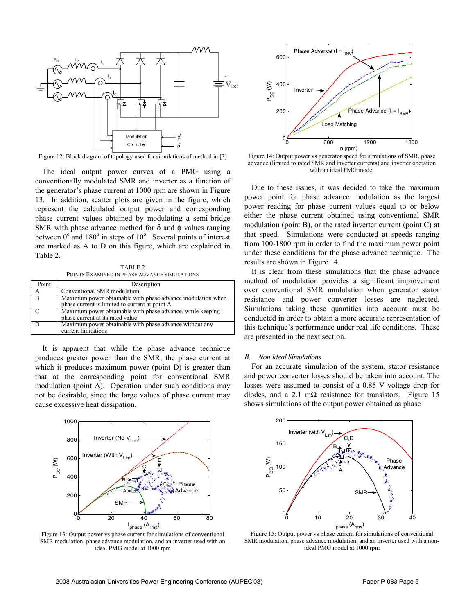

Figure 12: Block diagram of topology used for simulations of method in [3]

The ideal output power curves of a PMG using a conventionally modulated SMR and inverter as a function of the generator's phase current at 1000 rpm are shown in Figure 13. In addition, scatter plots are given in the figure, which represent the calculated output power and corresponding phase current values obtained by modulating a semi-bridge SMR with phase advance method for  $\delta$  and  $\phi$  values ranging between  $0^{\circ}$  and  $180^{\circ}$  in steps of  $10^{\circ}$ . Several points of interest are marked as A to D on this figure, which are explained in Table 2.

TABLE 2 POINTS EXAMINED IN PHASE ADVANCE SIMULATIONS

| Point        | Description                                                 |
|--------------|-------------------------------------------------------------|
| А            | Conventional SMR modulation                                 |
| <sup>B</sup> | Maximum power obtainable with phase advance modulation when |
|              | phase current is limited to current at point A              |
|              | Maximum power obtainable with phase advance, while keeping  |
|              | phase current at its rated value                            |
|              | Maximum power obtainable with phase advance without any     |
|              | current limitations                                         |

It is apparent that while the phase advance technique produces greater power than the SMR, the phase current at which it produces maximum power (point D) is greater than that at the corresponding point for conventional SMR modulation (point A). Operation under such conditions may not be desirable, since the large values of phase current may cause excessive heat dissipation.



Figure 13: Output power vs phase current for simulations of conventional SMR modulation, phase advance modulation, and an inverter used with an ideal PMG model at 1000 rpm



Figure 14: Output power vs generator speed for simulations of SMR, phase advance (limited to rated SMR and inverter currents) and inverter operation with an ideal PMG model

Due to these issues, it was decided to take the maximum power point for phase advance modulation as the largest power reading for phase current values equal to or below either the phase current obtained using conventional SMR modulation (point B), or the rated inverter current (point C) at that speed. Simulations were conducted at speeds ranging from 100-1800 rpm in order to find the maximum power point under these conditions for the phase advance technique. The results are shown in Figure 14.

It is clear from these simulations that the phase advance method of modulation provides a significant improvement over conventional SMR modulation when generator stator resistance and power converter losses are neglected. Simulations taking these quantities into account must be conducted in order to obtain a more accurate representation of this technique's performance under real life conditions. These are presented in the next section.

#### *B. Non Ideal Simulations*

For an accurate simulation of the system, stator resistance and power converter losses should be taken into account. The losses were assumed to consist of a 0.85 V voltage drop for diodes, and a 2.1 mΩ resistance for transistors. Figure 15 shows simulations of the output power obtained as phase



Figure 15: Output power vs phase current for simulations of conventional SMR modulation, phase advance modulation, and an inverter used with a nonideal PMG model at 1000 rpm